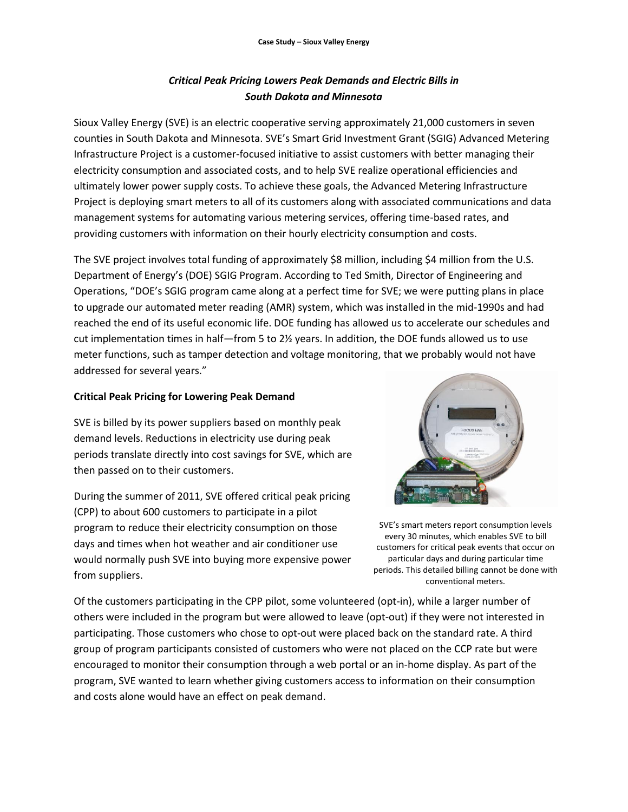# *Critical Peak Pricing Lowers Peak Demands and Electric Bills in South Dakota and Minnesota*

Sioux Valley Energy (SVE) is an electric cooperative serving approximately 21,000 customers in seven counties in South Dakota and Minnesota. SVE's Smart Grid Investment Grant (SGIG) Advanced Metering Infrastructure Project is a customer-focused initiative to assist customers with better managing their electricity consumption and associated costs, and to help SVE realize operational efficiencies and ultimately lower power supply costs. To achieve these goals, the Advanced Metering Infrastructure Project is deploying smart meters to all of its customers along with associated communications and data management systems for automating various metering services, offering time-based rates, and providing customers with information on their hourly electricity consumption and costs.

The SVE project involves total funding of approximately \$8 million, including \$4 million from the U.S. Department of Energy's (DOE) SGIG Program. According to Ted Smith, Director of Engineering and Operations, "DOE's SGIG program came along at a perfect time for SVE; we were putting plans in place to upgrade our automated meter reading (AMR) system, which was installed in the mid-1990s and had reached the end of its useful economic life. DOE funding has allowed us to accelerate our schedules and cut implementation times in half—from 5 to 2½ years. In addition, the DOE funds allowed us to use meter functions, such as tamper detection and voltage monitoring, that we probably would not have addressed for several years."

#### **Critical Peak Pricing for Lowering Peak Demand**

SVE is billed by its power suppliers based on monthly peak demand levels. Reductions in electricity use during peak periods translate directly into cost savings for SVE, which are then passed on to their customers.

During the summer of 2011, SVE offered critical peak pricing (CPP) to about 600 customers to participate in a pilot program to reduce their electricity consumption on those days and times when hot weather and air conditioner use would normally push SVE into buying more expensive power from suppliers.



SVE's smart meters report consumption levels every 30 minutes, which enables SVE to bill customers for critical peak events that occur on particular days and during particular time periods. This detailed billing cannot be done with conventional meters.

Of the customers participating in the CPP pilot, some volunteered (opt-in), while a larger number of others were included in the program but were allowed to leave (opt-out) if they were not interested in participating. Those customers who chose to opt-out were placed back on the standard rate. A third group of program participants consisted of customers who were not placed on the CCP rate but were encouraged to monitor their consumption through a web portal or an in-home display. As part of the program, SVE wanted to learn whether giving customers access to information on their consumption and costs alone would have an effect on peak demand.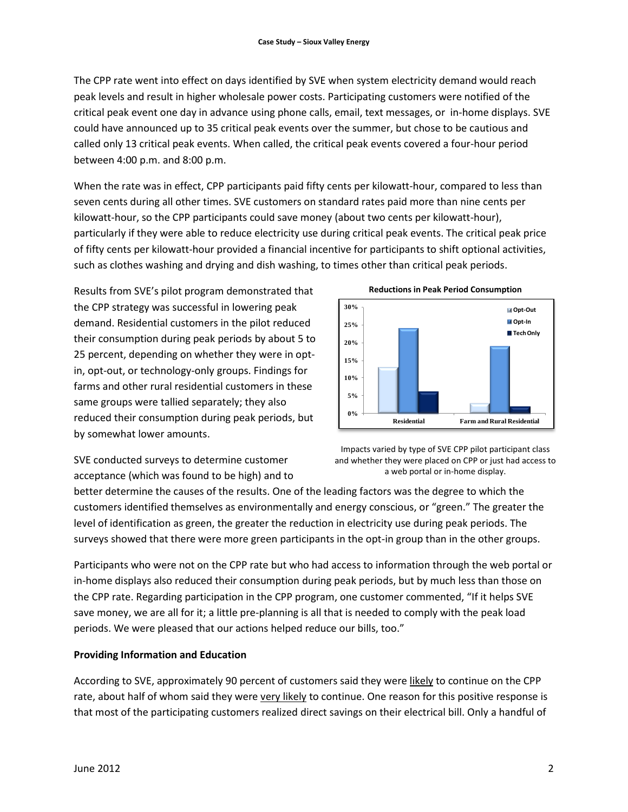The CPP rate went into effect on days identified by SVE when system electricity demand would reach peak levels and result in higher wholesale power costs. Participating customers were notified of the critical peak event one day in advance using phone calls, email, text messages, or in-home displays. SVE could have announced up to 35 critical peak events over the summer, but chose to be cautious and called only 13 critical peak events. When called, the critical peak events covered a four-hour period between 4:00 p.m. and 8:00 p.m.

When the rate was in effect, CPP participants paid fifty cents per kilowatt-hour, compared to less than seven cents during all other times. SVE customers on standard rates paid more than nine cents per kilowatt-hour, so the CPP participants could save money (about two cents per kilowatt-hour), particularly if they were able to reduce electricity use during critical peak events. The critical peak price of fifty cents per kilowatt-hour provided a financial incentive for participants to shift optional activities, such as clothes washing and drying and dish washing, to times other than critical peak periods.

Results from SVE's pilot program demonstrated that the CPP strategy was successful in lowering peak demand. Residential customers in the pilot reduced their consumption during peak periods by about 5 to 25 percent, depending on whether they were in optin, opt-out, or technology-only groups. Findings for farms and other rural residential customers in these same groups were tallied separately; they also reduced their consumption during peak periods, but by somewhat lower amounts.





SVE conducted surveys to determine customer acceptance (which was found to be high) and to

Impacts varied by type of SVE CPP pilot participant class and whether they were placed on CPP or just had access to a web portal or in-home display.

better determine the causes of the results. One of the leading factors was the degree to which the customers identified themselves as environmentally and energy conscious, or "green." The greater the level of identification as green, the greater the reduction in electricity use during peak periods. The surveys showed that there were more green participants in the opt-in group than in the other groups.

Participants who were not on the CPP rate but who had access to information through the web portal or in-home displays also reduced their consumption during peak periods, but by much less than those on the CPP rate. Regarding participation in the CPP program, one customer commented, "If it helps SVE save money, we are all for it; a little pre-planning is all that is needed to comply with the peak load periods. We were pleased that our actions helped reduce our bills, too."

## **Providing Information and Education**

According to SVE, approximately 90 percent of customers said they were likely to continue on the CPP rate, about half of whom said they were very likely to continue. One reason for this positive response is that most of the participating customers realized direct savings on their electrical bill. Only a handful of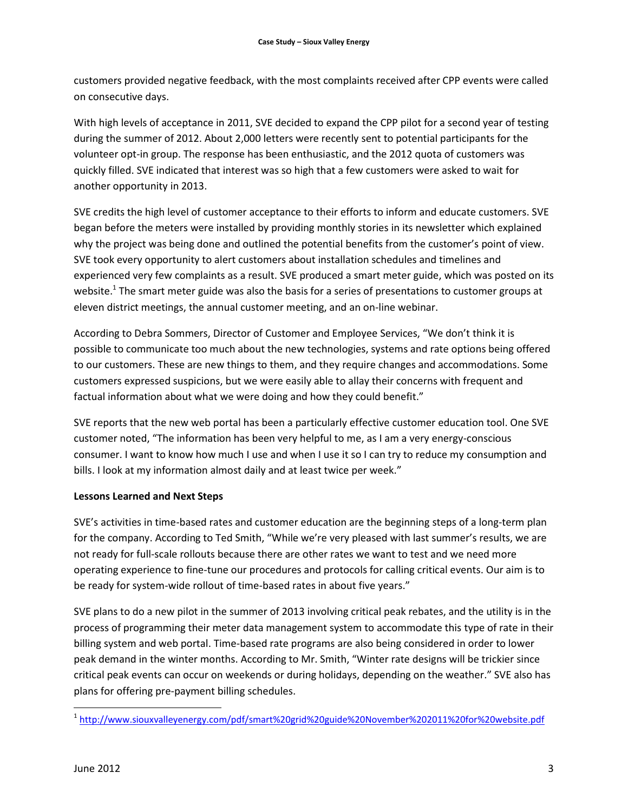customers provided negative feedback, with the most complaints received after CPP events were called on consecutive days.

With high levels of acceptance in 2011, SVE decided to expand the CPP pilot for a second year of testing during the summer of 2012. About 2,000 letters were recently sent to potential participants for the volunteer opt-in group. The response has been enthusiastic, and the 2012 quota of customers was quickly filled. SVE indicated that interest was so high that a few customers were asked to wait for another opportunity in 2013.

SVE credits the high level of customer acceptance to their efforts to inform and educate customers. SVE began before the meters were installed by providing monthly stories in its newsletter which explained why the project was being done and outlined the potential benefits from the customer's point of view. SVE took every opportunity to alert customers about installation schedules and timelines and experienced very few complaints as a result. SVE produced a smart meter guide, which was posted on its website.<sup>1</sup> The smart meter guide was also the basis for a series of presentations to customer groups at eleven district meetings, the annual customer meeting, and an on-line webinar.

According to Debra Sommers, Director of Customer and Employee Services, "We don't think it is possible to communicate too much about the new technologies, systems and rate options being offered to our customers. These are new things to them, and they require changes and accommodations. Some customers expressed suspicions, but we were easily able to allay their concerns with frequent and factual information about what we were doing and how they could benefit."

SVE reports that the new web portal has been a particularly effective customer education tool. One SVE customer noted, "The information has been very helpful to me, as I am a very energy-conscious consumer. I want to know how much I use and when I use it so I can try to reduce my consumption and bills. I look at my information almost daily and at least twice per week."

## **Lessons Learned and Next Steps**

SVE's activities in time-based rates and customer education are the beginning steps of a long-term plan for the company. According to Ted Smith, "While we're very pleased with last summer's results, we are not ready for full-scale rollouts because there are other rates we want to test and we need more operating experience to fine-tune our procedures and protocols for calling critical events. Our aim is to be ready for system-wide rollout of time-based rates in about five years."

SVE plans to do a new pilot in the summer of 2013 involving critical peak rebates, and the utility is in the process of programming their meter data management system to accommodate this type of rate in their billing system and web portal. Time-based rate programs are also being considered in order to lower peak demand in the winter months. According to Mr. Smith, "Winter rate designs will be trickier since critical peak events can occur on weekends or during holidays, depending on the weather." SVE also has plans for offering pre-payment billing schedules.

 1 <http://www.siouxvalleyenergy.com/pdf/smart%20grid%20guide%20November%202011%20for%20website.pdf>